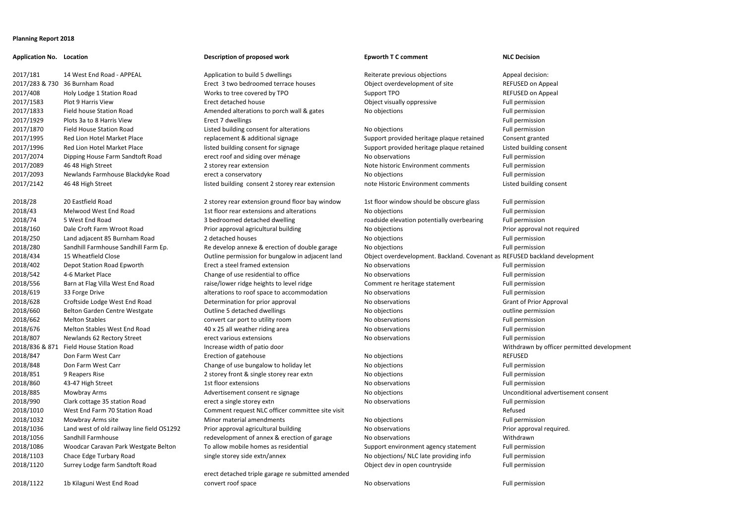## **Planning Report 2018**

2017/181 14 West End Road - APPEAL Application to build 5 dwellings Reiterate previous objections Appeal decision: 2017/283 & 730 36 Burnham Road Erect 3 two bedroomed terrace houses Object overdevelopment of site REFUSED on Appeal 2017/408 Holy Lodge 1 Station Road Works to tree covered by TPO Support TPO Support TPO REFUSED on Appeal 2017/1583 Plot 9 Harris View **Erect detached house** Erect detached house **Object visually oppressive** Full permission 2017/1833 Field house Station Road **Amended alterations to porch wall & gates** No objections **Parameter Amended** alterations to porch wall & gates No objections 2017/1929 Plots 3a to 8 Harris View Erect 7 dwellings Full permission Eull permission 2017/1870 Field House Station Road Listed building consent for alterations No objections Full permission 2017/1995 Red Lion Hotel Market Place replacement & additional signage Support provided heritage plaque retained Consent granted 2017/1996 Red Lion Hotel Market Place and Support Isted building consent for signage Support provided heritage plaque retained Listed building consent 2017/2074 Dipping House Farm Sandtoft Road erect roof and siding over ménage No observations Full permission 2017/2089 46 48 High Street 2 storey rear extension 2 storey rear extension Note historic Environment comments Full permission 2017/2093 Newlands Farmhouse Blackdyke Road erect a conservatory erect and the state of the No objections Full permission 2017/2142 46 48 High Street listed building consent 2 storey rear extension note Historic Environment comments Listed building consent 2018/28 20 Eastfield Road 2 storey rear extension ground floor bay window 1st floor window should be obscure glass Full permission 2018/847 Don Farm West Carr **Note 2018** Exection of gatehouse Note 2018/847 No objections REFUSED 2018/1010 West End Farm 70 Station Road Comment request NLC officer committee site visit Refused Refused 2018/1056 Sandhill Farmhouse Sandhill Farmhouse redevelopment of annex & erection of garage No observations No annouse Withdrawn 2018/1120 Surrey Lodge farm Sandtoft Road 2018/1122 1b Kilaguni West End Road convert roof space No observations Note of the Sull permission

### **Application No. Location Description of proposed work Epworth T C comment NLC Decision**

erect detached triple garage re submitted amended

2018/43 Melwood West End Road 1st floor rear extensions and alterations No objections Nomes Communications Full permission 2018/74 5 West End Road 3 bedroomed detached dwelling roadside elevation potentially overbearing Full permission 2018/160 Dale Croft Farm Wroot Road Prior approval agricultural building No objections Prior approval not required 2018/250 Land adjacent 85 Burnham Road 2 detached houses No objections Full permission 2018/280 Sandhill Farmhouse Sandhill Farm Ep. Re develop annexe & erection of double garage No objections Full permission 2018/434 15 Wheatfield Close **Contained Clube Contained Permission for bungalow in adjacent land** Object overdevelopment. Backland. Covenant as REFUSED backland development 2018/402 Depot Station Road Epworth Erect a steel framed extension No observations Nomes Conservations Full permission 2018/542 4-6 Market Place **Note 2018/542** 4-6 Market Place Change of use residential to office No observations **Full permission** 2018/556 Barn at Flag Villa West End Road raise/lower ridge heights to level ridge Comment re heritage statement Full permission 2018/619 33 Forge Drive 2018 alterations to roof space to accommodation No observations 2008/619 2018/619 Full permission 2018/628 Croftside Lodge West End Road Determination for prior approval No observations Grant of Prior Approval 2018/660 Belton Garden Centre Westgate Coutline 5 detached dwellings No objections No objections outline permission 2018/662 Melton Stables **Convert car port to utility room** No observations **No observations** Full permission 2018/676 Melton Stables West End Road 40 x 25 all weather riding area No observations Nomes And Tull permission 2018/807 Newlands 62 Rectory Street erect various extensions No observations Nomes Newlands 62 Rectory Street 2018/836 & 871 Field House Station Road Increase width of patio door Withdrawn by officer permitted development 2018/848 Don Farm West Carr Change of use bungalow to holiday let No objections Full permission 2018/851 9 Reapers Rise 2 storey front & single storey rear extn No objections and No and Tull permission 2018/860 43-47 High Street 1st floor extensions No observations Full permission 2018/885 Mowbray Arms **Mowbray Arms** Advertisement consent re signage No objections Noted Consent Consent Consent 2018/990 Clark cottage 35 station Road erect a single storey extn No observations Novement School Full permission 2018/1032 Mowbray Arms site Minor material amendments No objections Nomes Controller and Permission 2018/1036 Land west of old railway line field OS1292 Prior approval agricultural building No observations Prior approval required. 2018/1086 Woodcar Caravan Park Westgate Belton To allow mobile homes as residential Support environment agency statement Full permission 2018/1103 Chace Edge Turbary Road single storey side extn/annex No objections/ NLC late providing info Full permission Object dev in open countryside Full permission